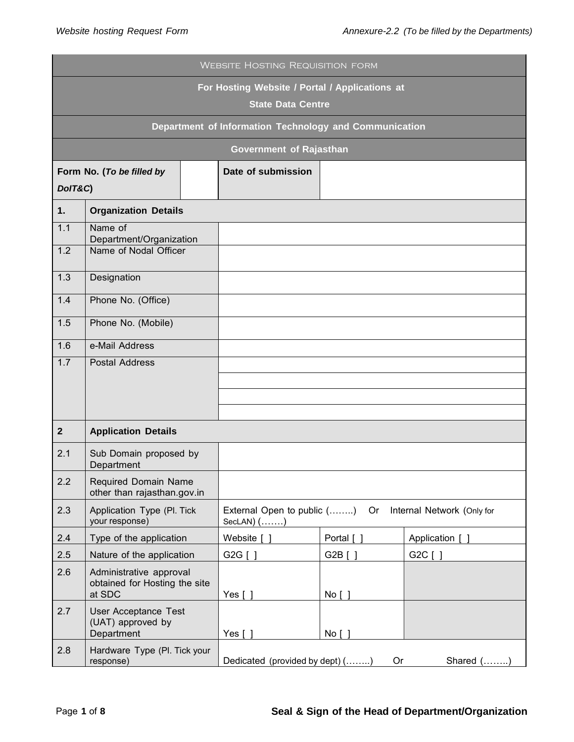|                                                                            | <b>WEBSITE HOSTING REQUISITION FORM</b>                            |  |                                                                                      |            |                 |  |
|----------------------------------------------------------------------------|--------------------------------------------------------------------|--|--------------------------------------------------------------------------------------|------------|-----------------|--|
| For Hosting Website / Portal / Applications at<br><b>State Data Centre</b> |                                                                    |  |                                                                                      |            |                 |  |
|                                                                            | Department of Information Technology and Communication             |  |                                                                                      |            |                 |  |
|                                                                            | <b>Government of Rajasthan</b>                                     |  |                                                                                      |            |                 |  |
| DolT&C)                                                                    | Form No. (To be filled by                                          |  | Date of submission                                                                   |            |                 |  |
| 1.                                                                         | <b>Organization Details</b>                                        |  |                                                                                      |            |                 |  |
| 1.1<br>1.2                                                                 | Name of<br>Department/Organization<br>Name of Nodal Officer        |  |                                                                                      |            |                 |  |
| 1.3                                                                        | Designation                                                        |  |                                                                                      |            |                 |  |
| 1.4                                                                        | Phone No. (Office)                                                 |  |                                                                                      |            |                 |  |
| 1.5                                                                        | Phone No. (Mobile)                                                 |  |                                                                                      |            |                 |  |
| 1.6                                                                        | e-Mail Address                                                     |  |                                                                                      |            |                 |  |
| 1.7                                                                        | <b>Postal Address</b>                                              |  |                                                                                      |            |                 |  |
|                                                                            |                                                                    |  |                                                                                      |            |                 |  |
|                                                                            |                                                                    |  |                                                                                      |            |                 |  |
|                                                                            |                                                                    |  |                                                                                      |            |                 |  |
| $\overline{2}$                                                             | <b>Application Details</b>                                         |  |                                                                                      |            |                 |  |
| 2.1                                                                        | Sub Domain proposed by<br>Department                               |  |                                                                                      |            |                 |  |
| 2.2                                                                        | Required Domain Name<br>other than rajasthan.gov.in                |  |                                                                                      |            |                 |  |
| 2.3                                                                        | Application Type (Pl. Tick<br>your response)                       |  | External Open to public ()<br>Internal Network (Only for<br>Or<br>SecLAN $)$ $($ $)$ |            |                 |  |
| 2.4                                                                        | Type of the application                                            |  | Website [ ]                                                                          | Portal [ ] | Application [ ] |  |
| 2.5                                                                        | Nature of the application                                          |  | G2G $\lceil$ $\rceil$                                                                | G2B [ ]    | G2C [ ]         |  |
| 2.6                                                                        | Administrative approval<br>obtained for Hosting the site<br>at SDC |  | Yes $[ ]$                                                                            | No [ ]     |                 |  |
| 2.7                                                                        | User Acceptance Test<br>(UAT) approved by<br>Department            |  | Yes $[ ]$                                                                            | No [ ]     |                 |  |
| 2.8                                                                        | Hardware Type (Pl. Tick your<br>response)                          |  | Dedicated (provided by dept) ()                                                      |            | Shared ()<br>0r |  |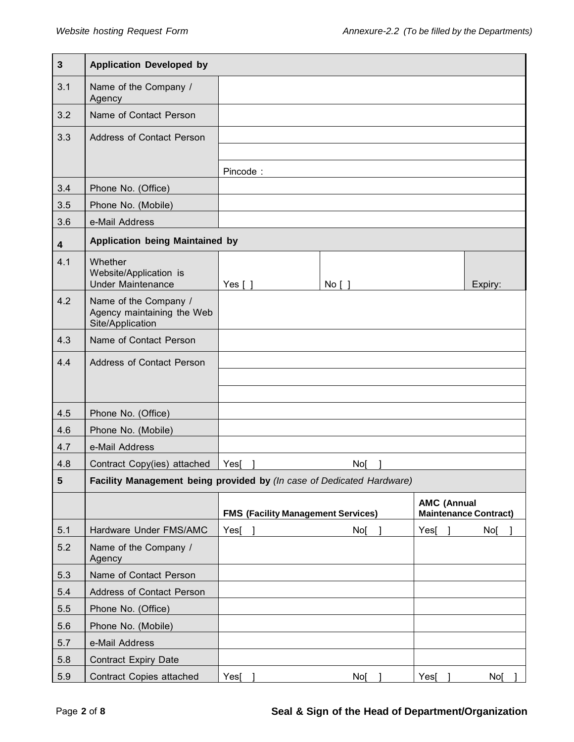| $\mathbf{3}$            | <b>Application Developed by</b>                                         |                                                                       |    |        |      |                                                    |  |
|-------------------------|-------------------------------------------------------------------------|-----------------------------------------------------------------------|----|--------|------|----------------------------------------------------|--|
| 3.1                     | Name of the Company /<br>Agency                                         |                                                                       |    |        |      |                                                    |  |
| 3.2                     | Name of Contact Person                                                  |                                                                       |    |        |      |                                                    |  |
| 3.3                     | <b>Address of Contact Person</b>                                        |                                                                       |    |        |      |                                                    |  |
|                         |                                                                         |                                                                       |    |        |      |                                                    |  |
|                         |                                                                         | Pincode:                                                              |    |        |      |                                                    |  |
| 3.4                     | Phone No. (Office)                                                      |                                                                       |    |        |      |                                                    |  |
| 3.5                     | Phone No. (Mobile)                                                      |                                                                       |    |        |      |                                                    |  |
| 3.6                     | e-Mail Address                                                          |                                                                       |    |        |      |                                                    |  |
| $\overline{\mathbf{4}}$ | <b>Application being Maintained by</b>                                  |                                                                       |    |        |      |                                                    |  |
| 4.1                     | Whether<br>Website/Application is<br><b>Under Maintenance</b>           | Yes $\lceil \ \rceil$                                                 |    | No [ ] |      | Expiry:                                            |  |
| 4.2                     | Name of the Company /<br>Agency maintaining the Web<br>Site/Application |                                                                       |    |        |      |                                                    |  |
| 4.3                     | Name of Contact Person                                                  |                                                                       |    |        |      |                                                    |  |
| 4.4                     | <b>Address of Contact Person</b>                                        |                                                                       |    |        |      |                                                    |  |
|                         |                                                                         |                                                                       |    |        |      |                                                    |  |
|                         |                                                                         |                                                                       |    |        |      |                                                    |  |
| 4.5                     | Phone No. (Office)                                                      |                                                                       |    |        |      |                                                    |  |
| 4.6                     | Phone No. (Mobile)                                                      |                                                                       |    |        |      |                                                    |  |
| 4.7                     | e-Mail Address                                                          |                                                                       |    |        |      |                                                    |  |
| 4.8                     | Contract Copy(ies) attached                                             | Yes                                                                   | No |        |      |                                                    |  |
| $\sqrt{5}$              |                                                                         | Facility Management being provided by (In case of Dedicated Hardware) |    |        |      |                                                    |  |
|                         |                                                                         | <b>FMS (Facility Management Services)</b>                             |    |        |      | <b>AMC (Annual</b><br><b>Maintenance Contract)</b> |  |
| 5.1                     | Hardware Under FMS/AMC                                                  | Yes <sub>[</sub> ]                                                    |    | No     | Yes[ | No[                                                |  |
| 5.2                     | Name of the Company /<br>Agency                                         |                                                                       |    |        |      |                                                    |  |
| 5.3                     | Name of Contact Person                                                  |                                                                       |    |        |      |                                                    |  |
| 5.4                     | Address of Contact Person                                               |                                                                       |    |        |      |                                                    |  |
| 5.5                     | Phone No. (Office)                                                      |                                                                       |    |        |      |                                                    |  |
| 5.6                     | Phone No. (Mobile)                                                      |                                                                       |    |        |      |                                                    |  |
| 5.7                     | e-Mail Address                                                          |                                                                       |    |        |      |                                                    |  |
| 5.8                     | <b>Contract Expiry Date</b>                                             |                                                                       |    |        |      |                                                    |  |
| 5.9                     | Contract Copies attached                                                | $Yes[$ ]                                                              |    | No[    | Yes[ | No[                                                |  |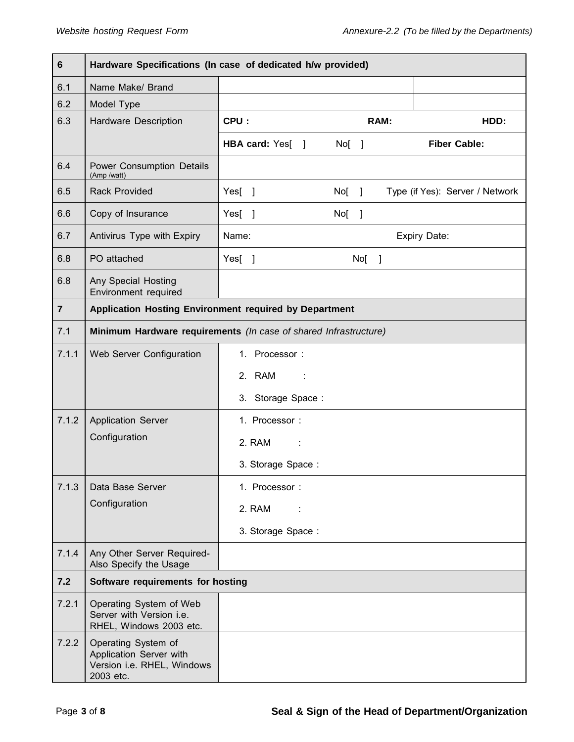| 6              | Hardware Specifications (In case of dedicated h/w provided)                               |                   |         |         |      |                                 |
|----------------|-------------------------------------------------------------------------------------------|-------------------|---------|---------|------|---------------------------------|
| 6.1            | Name Make/ Brand                                                                          |                   |         |         |      |                                 |
| 6.2            | Model Type                                                                                |                   |         |         |      |                                 |
| 6.3            | Hardware Description                                                                      | CPU:              |         |         | RAM: | HDD:                            |
|                |                                                                                           | HBA card: Yes[ ]  | $No[$ ] |         |      | <b>Fiber Cable:</b>             |
| 6.4            | Power Consumption Details<br>(Amp /watt)                                                  |                   |         |         |      |                                 |
| 6.5            | <b>Rack Provided</b>                                                                      | Yes[ ]            | $No[$ ] |         |      | Type (if Yes): Server / Network |
| 6.6            | Copy of Insurance                                                                         | Yes[ ]            | $No[$ ] |         |      |                                 |
| 6.7            | Antivirus Type with Expiry                                                                | Name:             |         |         |      | Expiry Date:                    |
| 6.8            | PO attached                                                                               | Yes[ ]            |         | $No[$ ] |      |                                 |
| 6.8            | Any Special Hosting<br>Environment required                                               |                   |         |         |      |                                 |
| $\overline{7}$ | Application Hosting Environment required by Department                                    |                   |         |         |      |                                 |
| 7.1            | Minimum Hardware requirements (In case of shared Infrastructure)                          |                   |         |         |      |                                 |
| 7.1.1          | Web Server Configuration                                                                  | 1. Processor:     |         |         |      |                                 |
|                |                                                                                           | 2. RAM<br>- 11    |         |         |      |                                 |
|                |                                                                                           | 3. Storage Space: |         |         |      |                                 |
| 7.1.2          | <b>Application Server</b>                                                                 | 1. Processor:     |         |         |      |                                 |
|                | Configuration                                                                             | 2. RAM<br>÷       |         |         |      |                                 |
|                |                                                                                           | 3. Storage Space: |         |         |      |                                 |
| 7.1.3          | Data Base Server                                                                          | 1. Processor:     |         |         |      |                                 |
|                | Configuration                                                                             | 2. RAM            |         |         |      |                                 |
|                |                                                                                           | 3. Storage Space: |         |         |      |                                 |
| 7.1.4          | Any Other Server Required-<br>Also Specify the Usage                                      |                   |         |         |      |                                 |
| $7.2$          | Software requirements for hosting                                                         |                   |         |         |      |                                 |
| 7.2.1          | Operating System of Web<br>Server with Version i.e.<br>RHEL, Windows 2003 etc.            |                   |         |         |      |                                 |
| 7.2.2          | Operating System of<br>Application Server with<br>Version i.e. RHEL, Windows<br>2003 etc. |                   |         |         |      |                                 |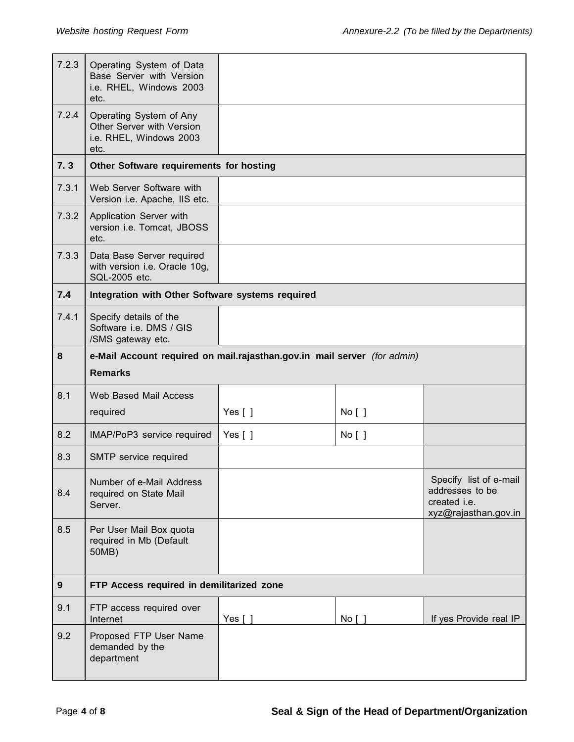| 7.2.3            | Operating System of Data<br>Base Server with Version<br>i.e. RHEL, Windows 2003<br>etc. |                       |        |                                                                                   |  |
|------------------|-----------------------------------------------------------------------------------------|-----------------------|--------|-----------------------------------------------------------------------------------|--|
| 7.2.4            | Operating System of Any<br>Other Server with Version<br>i.e. RHEL, Windows 2003<br>etc. |                       |        |                                                                                   |  |
| 7.3              | Other Software requirements for hosting                                                 |                       |        |                                                                                   |  |
| 7.3.1            | Web Server Software with<br>Version i.e. Apache, IIS etc.                               |                       |        |                                                                                   |  |
| 7.3.2            | Application Server with<br>version i.e. Tomcat, JBOSS<br>etc.                           |                       |        |                                                                                   |  |
| 7.3.3            | Data Base Server required<br>with version i.e. Oracle 10g,<br>SQL-2005 etc.             |                       |        |                                                                                   |  |
| 7.4              | Integration with Other Software systems required                                        |                       |        |                                                                                   |  |
| 7.4.1            | Specify details of the<br>Software i.e. DMS / GIS<br>/SMS gateway etc.                  |                       |        |                                                                                   |  |
| 8                | e-Mail Account required on mail.rajasthan.gov.in mail server (for admin)                |                       |        |                                                                                   |  |
|                  | <b>Remarks</b>                                                                          |                       |        |                                                                                   |  |
| 8.1              | <b>Web Based Mail Access</b>                                                            |                       |        |                                                                                   |  |
|                  | required                                                                                | Yes $[ ]$             | No [ ] |                                                                                   |  |
| 8.2              | IMAP/PoP3 service required                                                              | Yes $\lceil \ \rceil$ | No [ ] |                                                                                   |  |
|                  |                                                                                         |                       |        |                                                                                   |  |
| 8.3              | SMTP service required                                                                   |                       |        |                                                                                   |  |
| 8.4              | Number of e-Mail Address<br>required on State Mail<br>Server.                           |                       |        | Specify list of e-mail<br>addresses to be<br>created i.e.<br>xyz@rajasthan.gov.in |  |
| 8.5              | Per User Mail Box quota<br>required in Mb (Default<br>50MB)                             |                       |        |                                                                                   |  |
| $\boldsymbol{9}$ | FTP Access required in demilitarized zone                                               |                       |        |                                                                                   |  |
| 9.1              | FTP access required over<br>Internet                                                    | Yes $\lceil \ \rceil$ | No [ ] | If yes Provide real IP                                                            |  |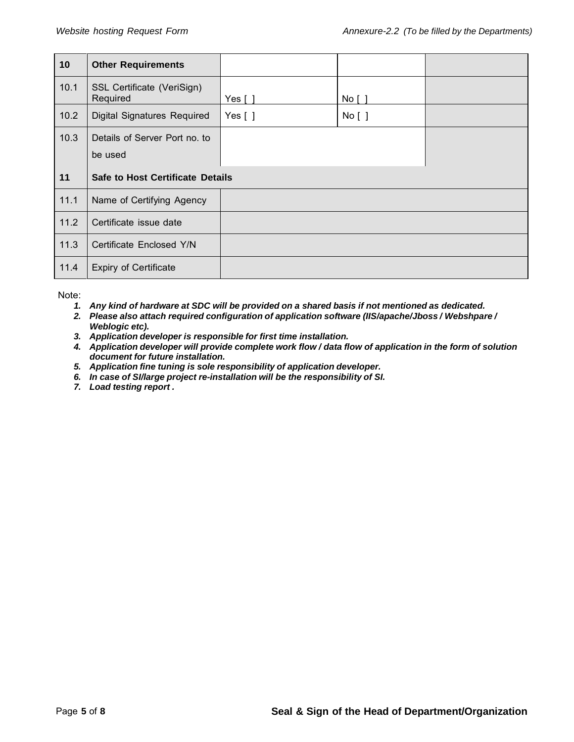| 10   | <b>Other Requirements</b>                |           |        |  |
|------|------------------------------------------|-----------|--------|--|
| 10.1 | SSL Certificate (VeriSign)<br>Required   | Yes [ 1   | No [ ] |  |
| 10.2 | <b>Digital Signatures Required</b>       | Yes $[ ]$ | No [ ] |  |
| 10.3 | Details of Server Port no. to<br>be used |           |        |  |
|      |                                          |           |        |  |
| 11   | <b>Safe to Host Certificate Details</b>  |           |        |  |
| 11.1 | Name of Certifying Agency                |           |        |  |
| 11.2 | Certificate issue date                   |           |        |  |
| 11.3 | Certificate Enclosed Y/N                 |           |        |  |

Note:

- *1. Any kind of hardware at SDC will be provided on a shared basis if not mentioned as dedicated.*
- *2. Please also attach required configuration of application software (IIS/apache/Jboss / Webshpare / Weblogic etc).*
- *3. Application developer is responsible for first time installation.*
- *4. Application developer will provide complete work flow / data flow of application in the form of solution document for future installation.*
- *5. Application fine tuning is sole responsibility of application developer.*
- *6. In case of SI/large project re-installation will be the responsibility of SI.*
- *7. Load testing report .*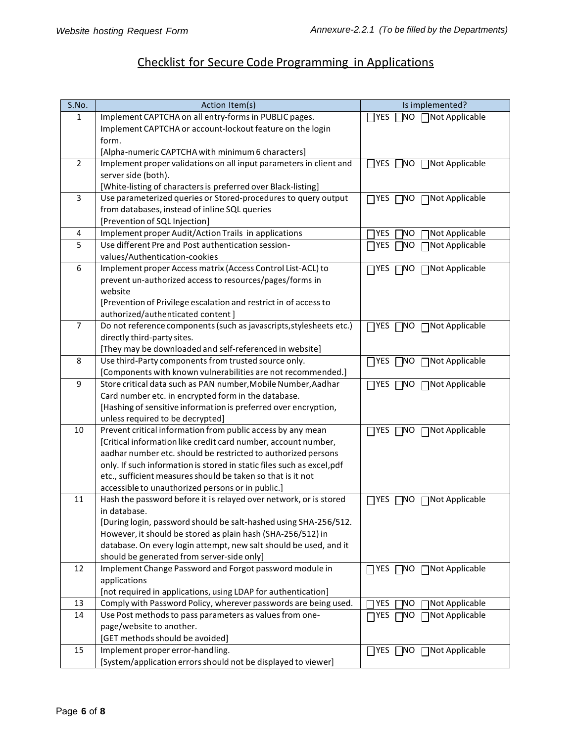## Checklist for Secure Code Programming in Applications

| S.No.          | Action Item(s)                                                                                  | Is implemented?                                   |
|----------------|-------------------------------------------------------------------------------------------------|---------------------------------------------------|
| 1              | Implement CAPTCHA on all entry-forms in PUBLIC pages.                                           | $\Box$ YES<br>NO ∩Not Applicable                  |
|                | Implement CAPTCHA or account-lockout feature on the login                                       |                                                   |
|                | form.                                                                                           |                                                   |
|                | [Alpha-numeric CAPTCHA with minimum 6 characters]                                               |                                                   |
| $\overline{2}$ | Implement proper validations on all input parameters in client and                              | $\prod$ YES<br>□ Not Applicable<br>$\Box$ NO      |
|                | server side (both).                                                                             |                                                   |
|                | [White-listing of characters is preferred over Black-listing]                                   |                                                   |
| 3              | Use parameterized queries or Stored-procedures to query output                                  | $\Box$ NO<br>□ Not Applicable<br>$\Box$ YES       |
|                | from databases, instead of inline SQL queries                                                   |                                                   |
|                | [Prevention of SQL Injection]                                                                   |                                                   |
| 4              | Implement proper Audit/Action Trails in applications                                            | Not Applicable<br>YES<br>ΝO                       |
| 5              | Use different Pre and Post authentication session-                                              | <b>TYES</b><br>□Not Applicable<br>7NO             |
|                | values/Authentication-cookies                                                                   |                                                   |
| 6              | Implement proper Access matrix (Access Control List-ACL) to                                     | □ Not Applicable<br>$\Box$ YES<br>1NO.            |
|                | prevent un-authorized access to resources/pages/forms in                                        |                                                   |
|                | website                                                                                         |                                                   |
|                | [Prevention of Privilege escalation and restrict in of access to                                |                                                   |
|                | authorized/authenticated content]                                                               |                                                   |
| $\overline{7}$ | Do not reference components (such as javascripts, stylesheets etc.)                             | $\Box$ Not Applicable<br>$\prod$ YES<br>$\Box$ NO |
|                | directly third-party sites.                                                                     |                                                   |
|                | [They may be downloaded and self-referenced in website]                                         |                                                   |
| 8              | Use third-Party components from trusted source only.                                            | □Not Applicable<br>$\Box$ YES<br>$\square$ NO     |
|                | [Components with known vulnerabilities are not recommended.]                                    |                                                   |
| 9              | Store critical data such as PAN number, Mobile Number, Aadhar                                   | □NO □Not Applicable<br>$\prod$                    |
|                | Card number etc. in encrypted form in the database.                                             |                                                   |
|                | [Hashing of sensitive information is preferred over encryption,                                 |                                                   |
| 10             | unless required to be decrypted]<br>Prevent critical information from public access by any mean |                                                   |
|                | [Critical information like credit card number, account number,                                  | □Not Applicable<br>$\Box$ NO<br>$\Box$ YES        |
|                | aadhar number etc. should be restricted to authorized persons                                   |                                                   |
|                | only. If such information is stored in static files such as excel, pdf                          |                                                   |
|                | etc., sufficient measures should be taken so that is it not                                     |                                                   |
|                | accessible to unauthorized persons or in public.]                                               |                                                   |
| 11             | Hash the password before it is relayed over network, or is stored                               | □Not Applicable<br>$\sqcap$ yes<br>7NO            |
|                | in database.                                                                                    |                                                   |
|                | [During login, password should be salt-hashed using SHA-256/512.                                |                                                   |
|                | However, it should be stored as plain hash (SHA-256/512) in                                     |                                                   |
|                | database. On every login attempt, new salt should be used, and it                               |                                                   |
|                | should be generated from server-side only]                                                      |                                                   |
| 12             | Implement Change Password and Forgot password module in                                         | □ YES □ NO □ Not Applicable                       |
|                | applications                                                                                    |                                                   |
|                | [not required in applications, using LDAP for authentication]                                   |                                                   |
| 13             | Comply with Password Policy, wherever passwords are being used.                                 | YES<br>Not Applicable<br>'NΟ                      |
| 14             | Use Post methods to pass parameters as values from one-                                         | □Not Applicable<br>NO,<br>$\sqcap$ YES            |
|                | page/website to another.                                                                        |                                                   |
|                | [GET methods should be avoided]                                                                 |                                                   |
| 15             | Implement proper error-handling.                                                                | □ YES □ NO □ Not Applicable                       |
|                | [System/application errors should not be displayed to viewer]                                   |                                                   |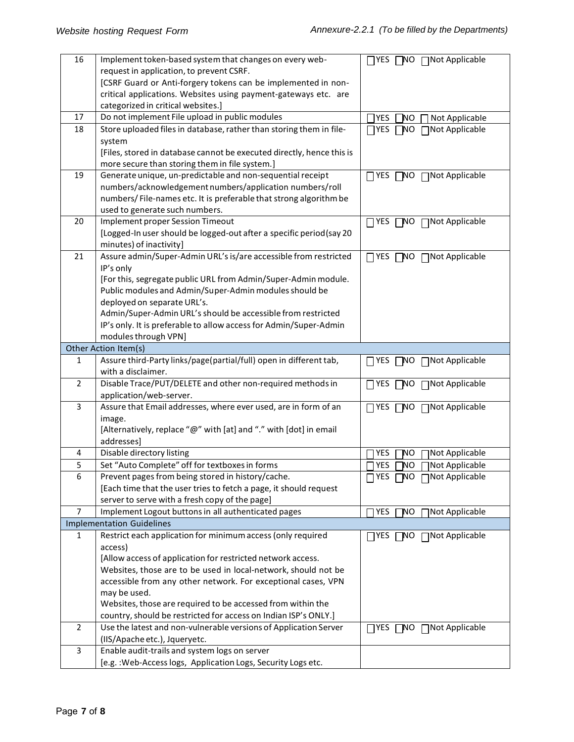| 16             | Implement token-based system that changes on every web-                                     | □NO □Not Applicable<br>$\Box$ YES              |
|----------------|---------------------------------------------------------------------------------------------|------------------------------------------------|
|                | request in application, to prevent CSRF.                                                    |                                                |
|                | [CSRF Guard or Anti-forgery tokens can be implemented in non-                               |                                                |
|                | critical applications. Websites using payment-gateways etc. are                             |                                                |
|                | categorized in critical websites.]                                                          |                                                |
| 17             | Do not implement File upload in public modules                                              | YES<br>NO.<br>Not Applicable                   |
| 18             | Store uploaded files in database, rather than storing them in file-                         | $\Box$ YES<br>7NO<br>□Not Applicable           |
|                | system                                                                                      |                                                |
|                | [Files, stored in database cannot be executed directly, hence this is                       |                                                |
|                | more secure than storing them in file system.]                                              |                                                |
| 19             | Generate unique, un-predictable and non-sequential receipt                                  | $\neg$ YES<br>□Not Applicable<br>7NO           |
|                | numbers/acknowledgement numbers/application numbers/roll                                    |                                                |
|                | numbers/File-names etc. It is preferable that strong algorithm be                           |                                                |
|                | used to generate such numbers.                                                              |                                                |
| 20             | Implement proper Session Timeout                                                            | □NO □Not Applicable<br>$\Box$ YES              |
|                | [Logged-In user should be logged-out after a specific period (say 20                        |                                                |
| 21             | minutes) of inactivity]<br>Assure admin/Super-Admin URL's is/are accessible from restricted |                                                |
|                |                                                                                             | □NO □Not Applicable<br>$\Box$ YES              |
|                | IP's only<br>[For this, segregate public URL from Admin/Super-Admin module.                 |                                                |
|                |                                                                                             |                                                |
|                | Public modules and Admin/Super-Admin modules should be<br>deployed on separate URL's.       |                                                |
|                | Admin/Super-Admin URL's should be accessible from restricted                                |                                                |
|                |                                                                                             |                                                |
|                | IP's only. It is preferable to allow access for Admin/Super-Admin<br>modules through VPN]   |                                                |
|                | Other Action Item(s)                                                                        |                                                |
| $\mathbf{1}$   | Assure third-Party links/page(partial/full) open in different tab,                          |                                                |
|                | with a disclaimer.                                                                          | □ Not Applicable<br>$\square$ NO<br>$\Box$ YES |
| $\overline{2}$ | Disable Trace/PUT/DELETE and other non-required methods in                                  | □Not Applicable<br>7NO<br>$\Box$ YES           |
|                | application/web-server.                                                                     |                                                |
| 3              | Assure that Email addresses, where ever used, are in form of an                             | □ Not Applicable<br>$\Box$ YES<br>$\square$ NO |
|                | image.                                                                                      |                                                |
|                | [Alternatively, replace "@" with [at] and "." with [dot] in email                           |                                                |
|                | addresses]                                                                                  |                                                |
| 4              | Disable directory listing                                                                   | Not Applicable<br>YES<br>ΝO                    |
| 5              | Set "Auto Complete" off for textboxes in forms                                              | <b>TYES</b><br>'NΟ<br>□Not Applicable          |
| 6              | Prevent pages from being stored in history/cache.                                           | □ YES □ NO □ Not Applicable                    |
|                | [Each time that the user tries to fetch a page, it should request                           |                                                |
|                | server to serve with a fresh copy of the page]                                              |                                                |
| 7              | Implement Logout buttons in all authenticated pages                                         | 7 YES<br>7NO<br>□Not Applicable                |
|                | <b>Implementation Guidelines</b>                                                            |                                                |
| $\mathbf{1}$   | Restrict each application for minimum access (only required                                 | □ Not Applicable<br>7NO<br>$\Box$ YES          |
|                | access)                                                                                     |                                                |
|                | [Allow access of application for restricted network access.                                 |                                                |
|                | Websites, those are to be used in local-network, should not be                              |                                                |
|                | accessible from any other network. For exceptional cases, VPN                               |                                                |
|                | may be used.                                                                                |                                                |
|                | Websites, those are required to be accessed from within the                                 |                                                |
|                | country, should be restricted for access on Indian ISP's ONLY.]                             |                                                |
| $\overline{2}$ | Use the latest and non-vulnerable versions of Application Server                            | □Not Applicable<br>$\Box$ YES<br>NO.           |
|                | (IIS/Apache etc.), Jqueryetc.                                                               |                                                |
| 3              | Enable audit-trails and system logs on server                                               |                                                |
|                | [e.g.: Web-Access logs, Application Logs, Security Logs etc.                                |                                                |